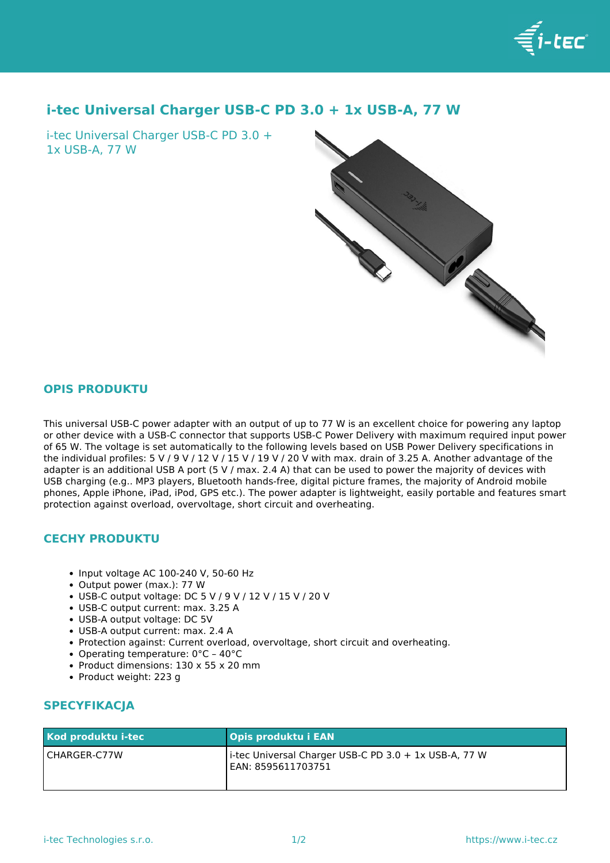

## **i-tec Universal Charger USB-C PD 3.0 + 1x USB-A, 77 W**

i-tec Universal Charger USB-C PD 3.0 + 1x USB-A, 77 W



## **OPIS PRODUKTU**

This universal USB-C power adapter with an output of up to 77 W is an excellent choice for powering any laptop or other device with a USB-C connector that supports USB-C Power Delivery with maximum required input power of 65 W. The voltage is set automatically to the following levels based on USB Power Delivery specifications in the individual profiles: 5 V / 9 V / 12 V / 15 V / 19 V / 20 V with max. drain of 3.25 A. Another advantage of the adapter is an additional USB A port (5 V / max. 2.4 A) that can be used to power the majority of devices with USB charging (e.g.. MP3 players, Bluetooth hands-free, digital picture frames, the majority of Android mobile phones, Apple iPhone, iPad, iPod, GPS etc.). The power adapter is lightweight, easily portable and features smart protection against overload, overvoltage, short circuit and overheating.

## **CECHY PRODUKTU**

- $\bullet$  Input voltage AC 100-240 V, 50-60 Hz
- Output power (max.): 77 W
- USB-C output voltage: DC 5 V / 9 V / 12 V / 15 V / 20 V
- USB-C output current: max. 3.25 A
- USB-A output voltage: DC 5V
- USB-A output current: max. 2.4 A
- Protection against: Current overload, overvoltage, short circuit and overheating.
- Operating temperature: 0°C 40°C
- Product dimensions: 130 x 55 x 20 mm
- Product weight: 223 g

## **SPECYFIKACJA**

| Kod produktu i-tec | <b>Opis produktu i EAN</b>                                                  |
|--------------------|-----------------------------------------------------------------------------|
| l CHARGER-C77W     | i-tec Universal Charger USB-C PD 3.0 + 1x USB-A, 77 W<br>EAN: 8595611703751 |